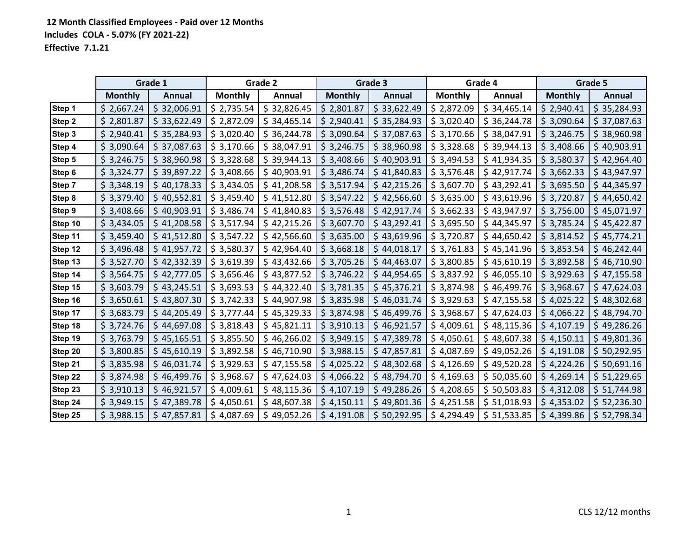|               |                | Grade 1     |                | Grade 2     |                | Grade 3       |                | Grade 4      |                | Grade 5      |
|---------------|----------------|-------------|----------------|-------------|----------------|---------------|----------------|--------------|----------------|--------------|
|               | <b>Monthly</b> | Annual      | <b>Monthly</b> | Annual      | <b>Monthly</b> | <b>Annual</b> | <b>Monthly</b> | Annual       | <b>Monthly</b> | Annual       |
| Step 1        | \$2,667.24     | \$32,006.91 | \$2,735.54     | \$32,826.45 | \$2,801.87     | \$33,622.49   | \$2,872.09     | \$34,465.14  | \$2,940.41     | \$35,284.93  |
| <b>Step 2</b> | \$2,801.87     | \$33,622.49 | \$2,872.09     | \$34,465.14 | \$2,940.41     | \$35,284.93   | \$3,020.40     | \$36,244.78  | \$3,090.64     | \$37,087.63  |
| Step 3        | \$2,940.41     | \$35,284.93 | \$3,020.40     | \$36,244.78 | \$3,090.64     | \$37,087.63   | \$3,170.66     | \$38,047.91  | \$3,246.75     | \$38,960.98  |
| Step 4        | \$3,090.64     | \$37,087.63 | \$3,170.66     | \$38,047.91 | \$3,246.75     | \$38,960.98   | \$3,328.68     | \$39,944.13  | \$3,408.66     | \$40,903.91  |
| Step 5        | \$3,246.75     | \$38,960.98 | \$3,328.68     | \$39,944.13 | \$3,408.66     | \$40,903.91   | \$3,494.53     | \$41,934.35  | \$3,580.37     | \$42,964.40  |
| Step 6        | \$3,324.77     | \$39,897.22 | \$3,408.66     | \$40,903.91 | \$3,486.74     | \$41,840.83   | \$3,576.48     | \$42,917.74  | \$3,662.33     | \$43,947.97  |
| Step 7        | \$3,348.19     | \$40,178.33 | \$3,434.05     | \$41,208.58 | \$3,517.94     | \$42,215.26   | \$3,607.70     | \$43,292.41  | \$3,695.50     | \$44,345.97  |
| Step 8        | \$3,379.40     | \$40,552.81 | \$3,459.40     | \$41,512.80 | \$3,547.22     | \$42,566.60   | \$3,635.00     | \$43,619.96  | \$3,720.87     | \$44,650.42  |
| Step 9        | \$3,408.66     | \$40,903.91 | \$3,486.74     | \$41,840.83 | \$3,576.48     | \$42,917.74   | \$3,662.33     | \$43,947.97  | \$3,756.00     | \$45,071.97  |
| Step 10       | \$3,434.05     | \$41,208.58 | \$3,517.94     | \$42,215.26 | \$3,607.70     | \$43,292.41   | \$3,695.50     | \$44,345.97  | \$3,785.24     | \$45,422.87  |
| Step 11       | \$3,459.40     | \$41,512.80 | \$3,547.22     | \$42,566.60 | \$3,635.00     | \$43,619.96   | \$3,720.87     | \$44,650.42  | \$3,814.52     | \$45,774.21  |
| Step 12       | \$3,496.48     | \$41,957.72 | \$3,580.37     | \$42,964.40 | \$3,668.18     | \$44,018.17   | \$3,761.83     | \$45,141.96  | \$3,853.54     | \$46,242.44  |
| Step 13       | \$3,527.70     | \$42,332.39 | \$3,619.39     | \$43,432.66 | \$3,705.26     | \$44,463.07   | \$3,800.85     | \$45,610.19  | \$3,892.58     | \$46,710.90  |
| Step 14       | \$3,564.75     | \$42,777.05 | \$3,656.46     | \$43,877.52 | \$3,746.22     | \$44,954.65   | \$3,837.92     | \$46,055.10  | \$3,929.63     | \$47,155.58  |
| Step 15       | \$3,603.79     | \$43,245.51 | \$3,693.53     | \$44,322.40 | \$3,781.35     | \$45,376.21   | \$3,874.98     | \$46,499.76  | \$3,968.67     | \$47,624.03  |
| Step 16       | \$3,650.61     | \$43,807.30 | \$3,742.33     | \$44,907.98 | \$3,835.98     | \$46,031.74   | \$3,929.63     | \$47,155.58  | \$4,025.22     | \$48,302.68  |
| Step 17       | \$3,683.79     | \$44,205.49 | \$3,777.44     | \$45,329.33 | \$3,874.98     | \$46,499.76   | \$3,968.67     | \$47,624.03  | \$4,066.22     | \$48,794.70  |
| Step 18       | \$3,724.76     | \$44,697.08 | \$3,818.43     | \$45,821.11 | \$3,910.13     | \$46,921.57   | \$4,009.61     | \$48,115.36  | \$4,107.19     | \$49,286.26  |
| Step 19       | \$3,763.79     | \$45,165.51 | \$3,855.50     | \$46,266.02 | \$3,949.15     | \$47,389.78   | \$4,050.61     | \$48,607.38  | \$4,150.11     | \$49,801.36  |
| Step 20       | \$3,800.85     | \$45,610.19 | \$3,892.58     | \$46,710.90 | \$3,988.15     | \$47,857.81   | \$4,087.69     | \$49,052.26  | \$4,191.08     | \$50,292.95  |
| Step 21       | \$3,835.98     | \$46,031.74 | \$3,929.63     | \$47,155.58 | \$4,025.22     | \$48,302.68   | \$4,126.69     | \$49,520.28  | \$4,224.26     | \$50,691.16  |
| Step 22       | \$3,874.98     | \$46,499.76 | \$3,968.67     | \$47,624.03 | \$4,066.22     | \$48,794.70   | \$4,169.63     | \$50,035.60  | \$4,269.14     | \$51,229.65  |
| Step 23       | \$3,910.13     | \$46,921.57 | \$4,009.61     | \$48,115.36 | \$4,107.19     | \$49,286.26   | \$4,208.65     | \$50,503.83  | \$4,312.08     | \$ 51,744.98 |
| Step 24       | \$3,949.15     | \$47,389.78 | \$4,050.61     | \$48,607.38 | \$4,150.11     | \$49,801.36   | \$4,251.58     | \$ 51,018.93 | \$4,353.02     | \$ 52,236.30 |
| Step 25       | \$3,988.15     | \$47,857.81 | \$4,087.69     | \$49,052.26 | \$4,191.08     | \$50,292.95   | \$4,294.49     | \$1,533.85   | \$4,399.86     | \$52,798.34  |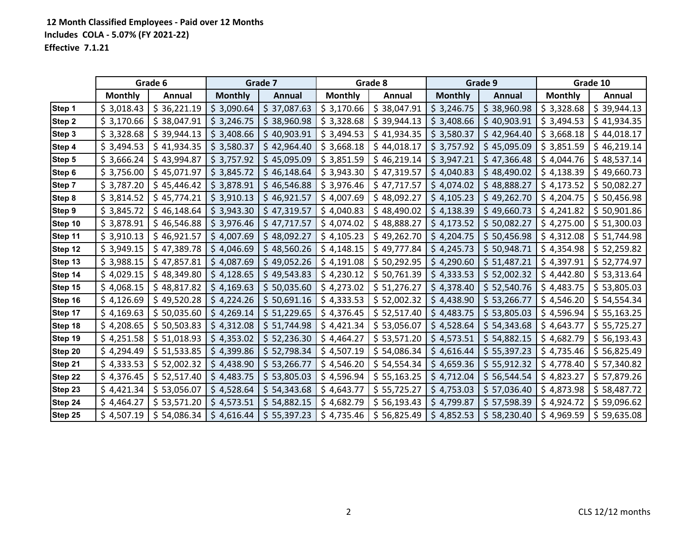|         |                | Grade 6      |                | Grade 7       |                | Grade 8      |                | Grade 9      |                | Grade 10     |
|---------|----------------|--------------|----------------|---------------|----------------|--------------|----------------|--------------|----------------|--------------|
|         | <b>Monthly</b> | Annual       | <b>Monthly</b> | <b>Annual</b> | <b>Monthly</b> | Annual       | <b>Monthly</b> | Annual       | <b>Monthly</b> | Annual       |
| Step 1  | \$3,018.43     | \$36,221.19  | \$3,090.64     | \$37,087.63   | \$3,170.66     | \$38,047.91  | \$3,246.75     | \$38,960.98  | \$3,328.68     | \$39,944.13  |
| Step 2  | \$3,170.66     | \$38,047.91  | \$3,246.75     | \$38,960.98   | \$3,328.68     | \$39,944.13  | \$3,408.66     | \$40,903.91  | \$3,494.53     | \$41,934.35  |
| Step 3  | \$3,328.68     | \$39,944.13  | \$3,408.66     | \$40,903.91   | \$3,494.53     | \$41,934.35  | \$3,580.37     | \$42,964.40  | \$3,668.18     | \$44,018.17  |
| Step 4  | \$3,494.53     | \$41,934.35  | \$3,580.37     | \$42,964.40   | \$3,668.18     | \$44,018.17  | \$3,757.92     | \$45,095.09  | \$3,851.59     | \$46,219.14  |
| Step 5  | \$3,666.24     | \$43,994.87  | \$3,757.92     | \$45,095.09   | \$3,851.59     | \$46,219.14  | \$3,947.21     | \$47,366.48  | \$4,044.76     | \$48,537.14  |
| Step 6  | \$3,756.00     | \$45,071.97  | \$3,845.72     | \$46,148.64   | \$3,943.30     | \$47,319.57  | \$4,040.83     | \$48,490.02  | \$4,138.39     | \$49,660.73  |
| Step 7  | \$3,787.20     | \$45,446.42  | \$3,878.91     | \$46,546.88   | \$3,976.46     | \$47,717.57  | \$4,074.02     | \$48,888.27  | \$4,173.52     | \$50,082.27  |
| Step 8  | \$3,814.52     | \$45,774.21  | \$3,910.13     | \$46,921.57   | \$4,007.69     | \$48,092.27  | \$4,105.23     | \$49,262.70  | \$4,204.75     | \$50,456.98  |
| Step 9  | \$3,845.72     | \$46,148.64  | \$3,943.30     | \$47,319.57   | \$4,040.83     | \$48,490.02  | \$4,138.39     | \$49,660.73  | \$4,241.82     | \$50,901.86  |
| Step 10 | \$3,878.91     | \$46,546.88  | \$3,976.46     | \$47,717.57   | \$4,074.02     | \$48,888.27  | \$4,173.52     | \$50,082.27  | \$4,275.00     | \$ 51,300.03 |
| Step 11 | \$3,910.13     | \$46,921.57  | \$4,007.69     | \$48,092.27   | \$4,105.23     | \$49,262.70  | \$4,204.75     | \$50,456.98  | \$4,312.08     | \$ 51,744.98 |
| Step 12 | \$3,949.15     | \$47,389.78  | \$4,046.69     | \$48,560.26   | \$4,148.15     | \$49,777.84  | \$4,245.73     | \$50,948.71  | \$4,354.98     | \$ 52,259.82 |
| Step 13 | \$3,988.15     | \$47,857.81  | \$4,087.69     | \$49,052.26   | \$4,191.08     | \$50,292.95  | \$4,290.60     | \$51,487.21  | \$4,397.91     | \$52,774.97  |
| Step 14 | \$4,029.15     | \$48,349.80  | \$4,128.65     | \$49,543.83   | \$4,230.12     | \$50,761.39  | \$4,333.53     | \$ 52,002.32 | \$4,442.80     | \$53,313.64  |
| Step 15 | \$4,068.15     | \$48,817.82  | \$4,169.63     | \$50,035.60   | \$4,273.02     | \$ 51,276.27 | \$4,378.40     | \$ 52,540.76 | \$4,483.75     | \$53,805.03  |
| Step 16 | \$4,126.69     | \$49,520.28  | \$4,224.26     | \$50,691.16   | \$4,333.53     | \$ 52,002.32 | \$4,438.90     | \$53,266.77  | \$4,546.20     | \$54,554.34  |
| Step 17 | \$4,169.63     | \$50,035.60  | \$4,269.14     | \$ 51,229.65  | \$4,376.45     | \$ 52,517.40 | \$4,483.75     | \$53,805.03  | \$4,596.94     | \$55,163.25  |
| Step 18 | \$4,208.65     | \$50,503.83  | \$4,312.08     | \$ 51,744.98  | \$4,421.34     | \$53,056.07  | \$4,528.64     | \$54,343.68  | \$4,643.77     | \$55,725.27  |
| Step 19 | \$4,251.58     | \$51,018.93  | \$4,353.02     | \$ 52,236.30  | \$4,464.27     | \$53,571.20  | \$4,573.51     | \$54,882.15  | \$4,682.79     | \$56,193.43  |
| Step 20 | \$4,294.49     | \$51,533.85  | \$4,399.86     | \$ 52,798.34  | \$4,507.19     | \$54,086.34  | \$4,616.44     | \$55,397.23  | \$4,735.46     | \$56,825.49  |
| Step 21 | \$4,333.53     | \$ 52,002.32 | \$4,438.90     | \$53,266.77   | \$4,546.20     | \$54,554.34  | \$4,659.36     | \$55,912.32  | \$4,778.40     | \$57,340.82  |
| Step 22 | \$4,376.45     | \$52,517.40  | \$4,483.75     | \$53,805.03   | \$4,596.94     | \$55,163.25  | \$4,712.04     | \$56,544.54  | \$4,823.27     | \$57,879.26  |
| Step 23 | \$4,421.34     | \$53,056.07  | \$4,528.64     | \$54,343.68   | \$4,643.77     | \$55,725.27  | \$4,753.03     | \$ 57,036.40 | \$4,873.98     | \$58,487.72  |
| Step 24 | \$4,464.27     | \$53,571.20  | \$4,573.51     | \$54,882.15   | \$4,682.79     | \$56,193.43  | \$4,799.87     | \$57,598.39  | \$4,924.72     | \$59,096.62  |
| Step 25 | \$4,507.19     | \$54,086.34  | \$4,616.44     | \$55,397.23   | \$4,735.46     | \$56,825.49  | \$4,852.53     | \$58,230.40  | \$4,969.59     | \$59,635.08  |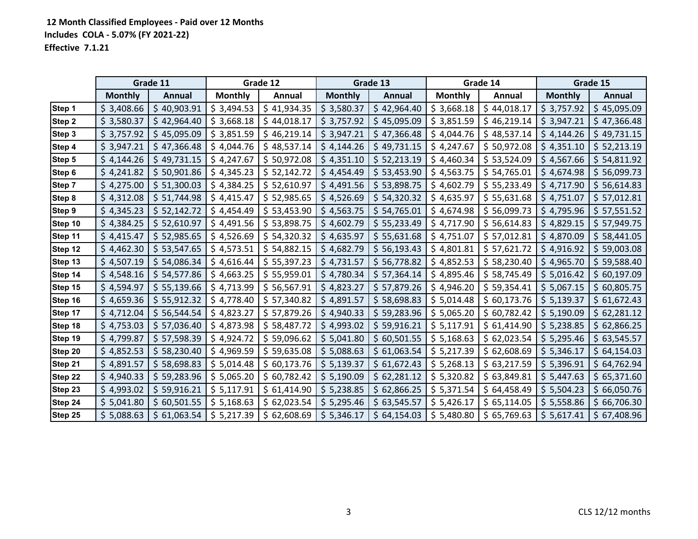|         |                | Grade 11      |                | Grade 12      |                | Grade 13      |                | Grade 14      |                | Grade 15      |
|---------|----------------|---------------|----------------|---------------|----------------|---------------|----------------|---------------|----------------|---------------|
|         | <b>Monthly</b> | <b>Annual</b> | <b>Monthly</b> | <b>Annual</b> | <b>Monthly</b> | <b>Annual</b> | <b>Monthly</b> | <b>Annual</b> | <b>Monthly</b> | <b>Annual</b> |
| Step 1  | \$3,408.66     | \$40,903.91   | \$3,494.53     | \$41,934.35   | \$3,580.37     | \$42,964.40   | \$3,668.18     | \$44,018.17   | \$3,757.92     | \$45,095.09   |
| Step 2  | \$3,580.37     | \$42,964.40   | \$3,668.18     | \$44,018.17   | \$3,757.92     | \$45,095.09   | \$3,851.59     | \$46,219.14   | \$3,947.21     | \$47,366.48   |
| Step 3  | \$3,757.92     | \$45,095.09   | \$3,851.59     | \$46,219.14   | \$3,947.21     | \$47,366.48   | \$4,044.76     | \$48,537.14   | \$4,144.26     | \$49,731.15   |
| Step 4  | \$3,947.21     | \$47,366.48   | \$4,044.76     | \$48,537.14   | \$4,144.26     | \$49,731.15   | \$4,247.67     | \$50,972.08   | \$4,351.10     | \$ 52,213.19  |
| Step 5  | \$4,144.26     | \$49,731.15   | \$4,247.67     | \$50,972.08   | \$4,351.10     | \$ 52,213.19  | \$4,460.34     | \$53,524.09   | \$4,567.66     | \$54,811.92   |
| Step 6  | \$4,241.82     | \$50,901.86   | \$4,345.23     | \$ 52,142.72  | \$4,454.49     | \$53,453.90   | \$4,563.75     | \$54,765.01   | \$4,674.98     | \$56,099.73   |
| Step 7  | \$4,275.00     | \$ 51,300.03  | \$4,384.25     | \$52,610.97   | \$4,491.56     | \$53,898.75   | \$4,602.79     | \$55,233.49   | \$4,717.90     | \$56,614.83   |
| Step 8  | \$4,312.08     | \$51,744.98   | \$4,415.47     | \$ 52,985.65  | \$4,526.69     | \$54,320.32   | \$4,635.97     | \$55,631.68   | \$4,751.07     | \$57,012.81   |
| Step 9  | \$4,345.23     | \$52,142.72   | \$4,454.49     | \$53,453.90   | \$4,563.75     | \$54,765.01   | \$4,674.98     | \$56,099.73   | \$4,795.96     | \$ 57,551.52  |
| Step 10 | \$4,384.25     | \$52,610.97   | \$4,491.56     | \$53,898.75   | \$4,602.79     | \$55,233.49   | \$4,717.90     | \$56,614.83   | \$4,829.15     | \$57,949.75   |
| Step 11 | \$4,415.47     | \$52,985.65   | \$4,526.69     | \$54,320.32   | \$4,635.97     | \$55,631.68   | \$4,751.07     | \$ 57,012.81  | \$4,870.09     | \$58,441.05   |
| Step 12 | \$4,462.30     | \$53,547.65   | \$4,573.51     | \$54,882.15   | \$4,682.79     | \$56,193.43   | \$4,801.81     | \$ 57,621.72  | \$4,916.92     | \$59,003.08   |
| Step 13 | \$4,507.19     | \$54,086.34   | \$4,616.44     | \$55,397.23   | \$4,731.57     | \$56,778.82   | \$4,852.53     | \$58,230.40   | \$4,965.70     | \$59,588.40   |
| Step 14 | \$4,548.16     | \$54,577.86   | \$4,663.25     | \$55,959.01   | \$4,780.34     | \$ 57,364.14  | \$4,895.46     | \$58,745.49   | \$5,016.42     | \$60,197.09   |
| Step 15 | \$4,594.97     | \$55,139.66   | \$4,713.99     | \$56,567.91   | \$4,823.27     | \$ 57,879.26  | \$4,946.20     | \$59,354.41   | \$5,067.15     | \$60,805.75   |
| Step 16 | \$4,659.36     | \$55,912.32   | \$4,778.40     | \$ 57,340.82  | \$4,891.57     | \$58,698.83   | \$5,014.48     | \$60,173.76   | \$5,139.37     | \$61,672.43   |
| Step 17 | \$4,712.04     | \$56,544.54   | \$4,823.27     | \$ 57,879.26  | \$4,940.33     | \$59,283.96   | \$5,065.20     | \$60,782.42   | \$5,190.09     | \$62,281.12   |
| Step 18 | \$4,753.03     | \$57,036.40   | \$4,873.98     | \$58,487.72   | \$4,993.02     | \$59,916.21   | \$5,117.91     | \$61,414.90   | \$5,238.85     | \$62,866.25   |
| Step 19 | \$4,799.87     | \$57,598.39   | \$4,924.72     | \$59,096.62   | \$5,041.80     | \$60,501.55   | \$5,168.63     | \$62,023.54   | \$5,295.46     | \$63,545.57   |
| Step 20 | \$4,852.53     | \$58,230.40   | \$4,969.59     | \$59,635.08   | \$5,088.63     | \$61,063.54   | \$5,217.39     | \$62,608.69   | \$5,346.17     | \$64,154.03   |
| Step 21 | \$4,891.57     | \$58,698.83   | \$5,014.48     | \$60,173.76   | \$5,139.37     | \$61,672.43   | \$5,268.13     | \$63,217.59   | \$5,396.91     | \$64,762.94   |
| Step 22 | \$4,940.33     | \$59,283.96   | \$5,065.20     | \$60,782.42   | \$5,190.09     | \$62,281.12   | \$5,320.82     | \$63,849.81   | \$5,447.63     | \$65,371.60   |
| Step 23 | \$4,993.02     | \$59,916.21   | \$5,117.91     | \$61,414.90   | \$5,238.85     | \$62,866.25   | \$5,371.54     | \$64,458.49   | \$5,504.23     | \$66,050.76   |
| Step 24 | \$5,041.80     | \$60,501.55   | \$5,168.63     | \$62,023.54   | \$5,295.46     | \$63,545.57   | \$5,426.17     | \$65,114.05   | \$5,558.86     | \$66,706.30   |
| Step 25 | \$5,088.63     | \$61,063.54   | \$5,217.39     | \$62,608.69   | \$5,346.17     | \$64,154.03   | \$5,480.80     | \$65,769.63   | \$5,617.41     | \$67,408.96   |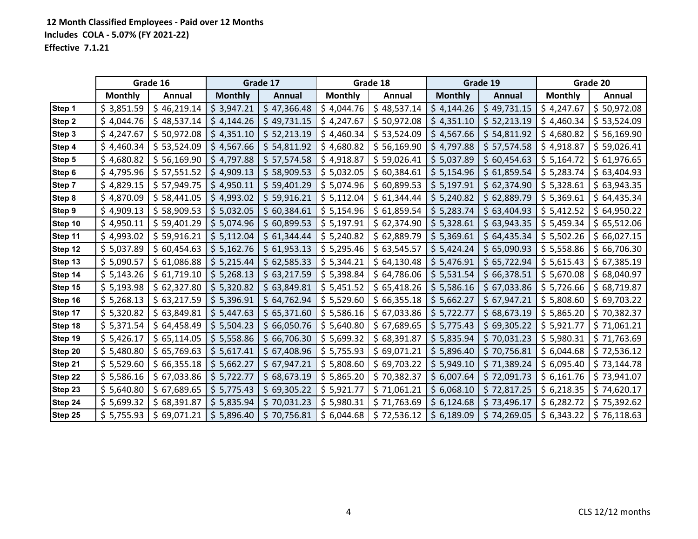|               |                | Grade 16      |                | Grade 17    |                | Grade 18    |                | Grade 19    |                | Grade 20    |
|---------------|----------------|---------------|----------------|-------------|----------------|-------------|----------------|-------------|----------------|-------------|
|               | <b>Monthly</b> | <b>Annual</b> | <b>Monthly</b> | Annual      | <b>Monthly</b> | Annual      | <b>Monthly</b> | Annual      | <b>Monthly</b> | Annual      |
| Step 1        | \$3,851.59     | \$46,219.14   | \$3,947.21     | \$47,366.48 | \$4,044.76     | \$48,537.14 | \$4,144.26     | \$49,731.15 | \$4,247.67     | \$50,972.08 |
| Step 2        | \$4,044.76     | \$48,537.14   | \$4,144.26     | \$49,731.15 | \$4,247.67     | \$50,972.08 | \$4,351.10     | \$52,213.19 | \$4,460.34     | \$53,524.09 |
| Step 3        | \$4,247.67     | \$50,972.08   | \$4,351.10     | \$52,213.19 | \$4,460.34     | \$53,524.09 | \$4,567.66     | \$54,811.92 | \$4,680.82     | \$56,169.90 |
| Step 4        | \$4,460.34     | \$53,524.09   | \$4,567.66     | \$54,811.92 | \$4,680.82     | \$56,169.90 | \$4,797.88     | \$57,574.58 | \$4,918.87     | \$59,026.41 |
| Step 5        | \$4,680.82     | \$56,169.90   | \$4,797.88     | \$57,574.58 | \$4,918.87     | \$59,026.41 | \$5,037.89     | \$60,454.63 | \$5,164.72     | \$61,976.65 |
| Step 6        | \$4,795.96     | \$57,551.52   | \$4,909.13     | \$58,909.53 | \$5,032.05     | \$60,384.61 | \$5,154.96     | \$61,859.54 | \$5,283.74     | \$63,404.93 |
| Step 7        | \$4,829.15     | \$57,949.75   | \$4,950.11     | \$59,401.29 | \$5,074.96     | \$60,899.53 | \$5,197.91     | \$62,374.90 | \$5,328.61     | \$63,943.35 |
| Step 8        | \$4,870.09     | \$58,441.05   | \$4,993.02     | \$59,916.21 | \$5,112.04     | \$61,344.44 | \$5,240.82     | \$62,889.79 | \$5,369.61     | \$64,435.34 |
| <b>Step 9</b> | \$4,909.13     | \$58,909.53   | \$5,032.05     | \$60,384.61 | \$5,154.96     | \$61,859.54 | \$5,283.74     | \$63,404.93 | \$5,412.52     | \$64,950.22 |
| Step 10       | \$4,950.11     | \$59,401.29   | \$5,074.96     | \$60,899.53 | \$5,197.91     | \$62,374.90 | \$5,328.61     | \$63,943.35 | \$5,459.34     | \$65,512.06 |
| Step 11       | \$4,993.02     | \$59,916.21   | \$5,112.04     | \$61,344.44 | \$5,240.82     | \$62,889.79 | \$5,369.61     | \$64,435.34 | \$5,502.26     | \$66,027.15 |
| Step 12       | \$5,037.89     | \$60,454.63   | \$5,162.76     | \$61,953.13 | \$5,295.46     | \$63,545.57 | \$5,424.24     | \$65,090.93 | \$5,558.86     | \$66,706.30 |
| Step 13       | \$5,090.57     | \$61,086.88   | \$5,215.44     | \$62,585.33 | \$5,344.21     | \$64,130.48 | \$5,476.91     | \$65,722.94 | \$5,615.43     | \$67,385.19 |
| Step 14       | \$5,143.26     | \$61,719.10   | \$5,268.13     | \$63,217.59 | \$5,398.84     | \$64,786.06 | \$5,531.54     | \$66,378.51 | \$5,670.08     | \$68,040.97 |
| Step 15       | \$5,193.98     | \$62,327.80   | \$5,320.82     | \$63,849.81 | \$5,451.52     | \$65,418.26 | \$5,586.16     | \$67,033.86 | \$5,726.66     | \$68,719.87 |
| Step 16       | \$5,268.13     | \$63,217.59   | \$5,396.91     | \$64,762.94 | \$5,529.60     | \$66,355.18 | \$5,662.27     | \$67,947.21 | \$5,808.60     | \$69,703.22 |
| Step 17       | \$5,320.82     | \$63,849.81   | \$5,447.63     | \$65,371.60 | \$5,586.16     | \$67,033.86 | \$5,722.77     | \$68,673.19 | \$5,865.20     | \$70,382.37 |
| Step 18       | \$5,371.54     | \$64,458.49   | \$5,504.23     | \$66,050.76 | \$5,640.80     | \$67,689.65 | \$5,775.43     | \$69,305.22 | \$5,921.77     | \$71,061.21 |
| Step 19       | \$5,426.17     | \$65,114.05   | \$5,558.86     | \$66,706.30 | \$5,699.32     | \$68,391.87 | \$5,835.94     | \$70,031.23 | \$5,980.31     | \$71,763.69 |
| Step 20       | \$5,480.80     | \$65,769.63   | \$5,617.41     | \$67,408.96 | \$5,755.93     | \$69,071.21 | \$5,896.40     | \$70,756.81 | \$6,044.68     | \$72,536.12 |
| Step 21       | \$5,529.60     | \$66,355.18   | \$5,662.27     | \$67,947.21 | \$5,808.60     | \$69,703.22 | \$5,949.10     | \$71,389.24 | \$6,095.40     | \$73,144.78 |
| Step 22       | \$5,586.16     | \$67,033.86   | \$5,722.77     | \$68,673.19 | \$5,865.20     | \$70,382.37 | \$6,007.64     | \$72,091.73 | \$6,161.76     | \$73,941.07 |
| Step 23       | \$5,640.80     | \$67,689.65   | \$5,775.43     | \$69,305.22 | \$5,921.77     | \$71,061.21 | \$6,068.10     | \$72,817.25 | \$6,218.35     | \$74,620.17 |
| Step 24       | \$5,699.32     | \$68,391.87   | \$5,835.94     | \$70,031.23 | \$5,980.31     | \$71,763.69 | \$6,124.68     | \$73,496.17 | \$6,282.72     | \$75,392.62 |
| Step 25       | \$5,755.93     | \$69,071.21   | \$5,896.40     | \$70,756.81 | \$6,044.68     | \$72,536.12 | \$6,189.09     | \$74,269.05 | \$6,343.22     | \$76,118.63 |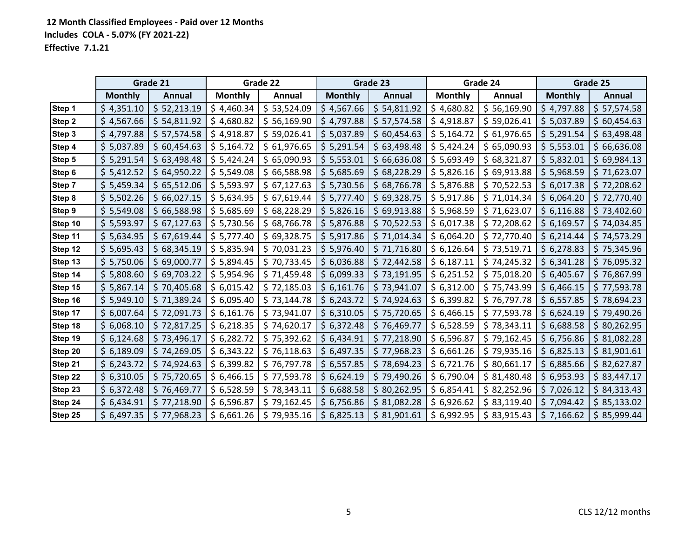|         |                | Grade 21      |                | Grade 22      |                | Grade 23      |                | Grade 24      |                | Grade 25      |
|---------|----------------|---------------|----------------|---------------|----------------|---------------|----------------|---------------|----------------|---------------|
|         | <b>Monthly</b> | <b>Annual</b> | <b>Monthly</b> | <b>Annual</b> | <b>Monthly</b> | <b>Annual</b> | <b>Monthly</b> | <b>Annual</b> | <b>Monthly</b> | <b>Annual</b> |
| Step 1  | \$4,351.10     | \$52,213.19   | \$4,460.34     | \$53,524.09   | \$4,567.66     | \$54,811.92   | \$4,680.82     | \$56,169.90   | \$4,797.88     | \$ 57,574.58  |
| Step 2  | \$4,567.66     | \$54,811.92   | \$4,680.82     | \$56,169.90   | \$4,797.88     | \$57,574.58   | \$4,918.87     | \$59,026.41   | \$5,037.89     | \$60,454.63   |
| Step 3  | \$4,797.88     | \$57,574.58   | \$4,918.87     | \$59,026.41   | \$5,037.89     | \$60,454.63   | \$5,164.72     | \$61,976.65   | \$5,291.54     | \$63,498.48   |
| Step 4  | \$5,037.89     | \$60,454.63   | \$5,164.72     | \$61,976.65   | \$5,291.54     | \$63,498.48   | \$5,424.24     | \$65,090.93   | \$5,553.01     | \$66,636.08   |
| Step 5  | \$5,291.54     | \$63,498.48   | \$5,424.24     | \$65,090.93   | \$5,553.01     | \$66,636.08   | \$5,693.49     | \$68,321.87   | \$5,832.01     | \$69,984.13   |
| Step 6  | \$5,412.52     | \$64,950.22   | \$5,549.08     | \$66,588.98   | \$5,685.69     | \$68,228.29   | \$5,826.16     | \$69,913.88   | \$5,968.59     | \$71,623.07   |
| Step 7  | \$5,459.34     | \$65,512.06   | \$5,593.97     | \$67,127.63   | \$5,730.56     | \$68,766.78   | \$5,876.88     | \$70,522.53   | \$6,017.38     | \$72,208.62   |
| Step 8  | \$5,502.26     | \$66,027.15   | \$5,634.95     | \$67,619.44   | \$5,777.40     | \$69,328.75   | \$5,917.86     | \$71,014.34   | \$6,064.20     | \$72,770.40   |
| Step 9  | \$5,549.08     | \$66,588.98   | \$5,685.69     | \$68,228.29   | \$5,826.16     | \$69,913.88   | \$5,968.59     | \$71,623.07   | \$6,116.88     | \$73,402.60   |
| Step 10 | \$5,593.97     | \$67,127.63   | \$5,730.56     | \$68,766.78   | \$5,876.88     | \$70,522.53   | \$6,017.38     | \$72,208.62   | \$6,169.57     | \$74,034.85   |
| Step 11 | \$5,634.95     | \$67,619.44   | \$5,777.40     | \$69,328.75   | \$5,917.86     | \$71,014.34   | \$6,064.20     | \$72,770.40   | \$6,214.44     | \$74,573.29   |
| Step 12 | \$5,695.43     | \$68,345.19   | \$5,835.94     | \$70,031.23   | \$5,976.40     | \$71,716.80   | \$6,126.64     | \$73,519.71   | \$6,278.83     | \$75,345.96   |
| Step 13 | \$5,750.06     | \$69,000.77   | \$5,894.45     | \$70,733.45   | \$6,036.88     | \$72,442.58   | \$6,187.11     | \$74,245.32   | \$6,341.28     | \$76,095.32   |
| Step 14 | \$5,808.60     | \$69,703.22   | \$5,954.96     | \$71,459.48   | \$6,099.33     | \$73,191.95   | \$6,251.52     | \$75,018.20   | \$6,405.67     | \$76,867.99   |
| Step 15 | \$5,867.14     | \$70,405.68   | \$6,015.42     | \$72,185.03   | \$6,161.76     | \$73,941.07   | \$6,312.00     | \$75,743.99   | \$6,466.15     | \$77,593.78   |
| Step 16 | \$5,949.10     | \$71,389.24   | \$6,095.40     | \$73,144.78   | \$6,243.72     | \$74,924.63   | \$6,399.82     | \$76,797.78   | \$6,557.85     | \$78,694.23   |
| Step 17 | \$6,007.64     | \$72,091.73   | \$6,161.76     | \$73,941.07   | \$6,310.05     | \$75,720.65   | \$6,466.15     | \$77,593.78   | \$6,624.19     | \$79,490.26   |
| Step 18 | \$6,068.10     | \$72,817.25   | \$6,218.35     | \$74,620.17   | \$6,372.48     | \$76,469.77   | \$6,528.59     | \$78,343.11   | \$6,688.58     | \$80,262.95   |
| Step 19 | \$6,124.68     | \$73,496.17   | \$6,282.72     | \$75,392.62   | \$6,434.91     | \$77,218.90   | \$6,596.87     | \$79,162.45   | \$6,756.86     | \$31,082.28   |
| Step 20 | \$6,189.09     | \$74,269.05   | \$6,343.22     | \$76,118.63   | \$6,497.35     | \$77,968.23   | \$6,661.26     | \$79,935.16   | \$6,825.13     | \$31,901.61   |
| Step 21 | \$6,243.72     | \$74,924.63   | \$6,399.82     | \$76,797.78   | \$6,557.85     | \$78,694.23   | \$6,721.76     | \$80,661.17   | \$6,885.66     | \$82,627.87   |
| Step 22 | \$6,310.05     | \$75,720.65   | \$6,466.15     | \$77,593.78   | \$6,624.19     | \$79,490.26   | \$6,790.04     | \$81,480.48   | \$6,953.93     | \$83,447.17   |
| Step 23 | \$6,372.48     | \$76,469.77   | \$6,528.59     | \$78,343.11   | \$6,688.58     | \$80,262.95   | \$6,854.41     | \$82,252.96   | \$7,026.12     | \$84,313.43   |
| Step 24 | \$6,434.91     | \$77,218.90   | \$6,596.87     | \$79,162.45   | \$6,756.86     | \$81,082.28   | \$6,926.62     | \$83,119.40   | \$7,094.42     | \$85,133.02   |
| Step 25 | \$6,497.35     | \$77,968.23   | \$6,661.26     | \$79,935.16   | \$6,825.13     | \$31,901.61   | \$6,992.95     | \$83,915.43   | \$7,166.62     | \$85,999.44   |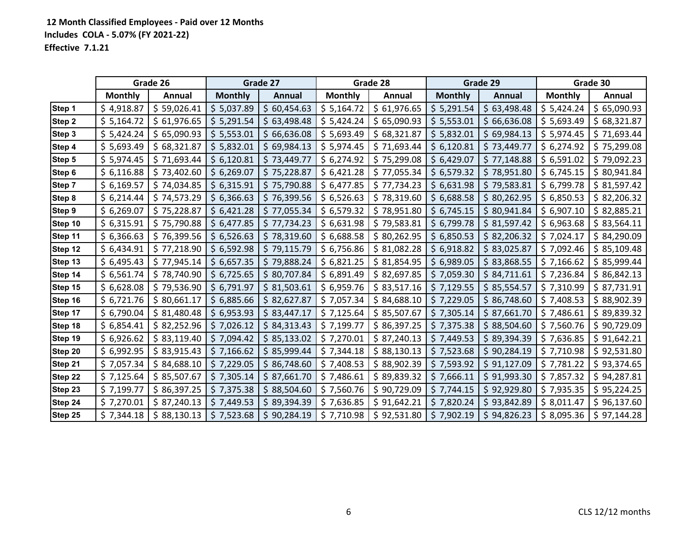|               |                | Grade 26    |                | Grade 27    |                | Grade 28      |                | Grade 29      |                | Grade 30      |
|---------------|----------------|-------------|----------------|-------------|----------------|---------------|----------------|---------------|----------------|---------------|
|               | <b>Monthly</b> | Annual      | <b>Monthly</b> | Annual      | <b>Monthly</b> | <b>Annual</b> | <b>Monthly</b> | <b>Annual</b> | <b>Monthly</b> | <b>Annual</b> |
| Step 1        | \$4,918.87     | \$59,026.41 | \$5,037.89     | \$60,454.63 | \$5,164.72     | \$61,976.65   | \$5,291.54     | \$63,498.48   | \$5,424.24     | \$65,090.93   |
| <b>Step 2</b> | \$5,164.72     | \$61,976.65 | \$5,291.54     | \$63,498.48 | \$5,424.24     | \$65,090.93   | \$5,553.01     | \$66,636.08   | \$5,693.49     | \$68,321.87   |
| Step 3        | \$5,424.24     | \$65,090.93 | \$5,553.01     | \$66,636.08 | \$5,693.49     | \$68,321.87   | \$5,832.01     | \$69,984.13   | \$5,974.45     | \$71,693.44   |
| Step 4        | \$5,693.49     | \$68,321.87 | \$5,832.01     | \$69,984.13 | \$5,974.45     | \$71,693.44   | \$6,120.81     | \$73,449.77   | \$6,274.92     | \$75,299.08   |
| Step 5        | \$5,974.45     | \$71,693.44 | \$6,120.81     | \$73,449.77 | \$6,274.92     | \$75,299.08   | \$6,429.07     | \$77,148.88   | \$6,591.02     | \$79,092.23   |
| Step 6        | \$6,116.88     | \$73,402.60 | \$6,269.07     | \$75,228.87 | \$6,421.28     | \$77,055.34   | \$6,579.32     | \$78,951.80   | \$6,745.15     | \$80,941.84   |
| Step 7        | \$6,169.57     | \$74,034.85 | \$6,315.91     | \$75,790.88 | \$6,477.85     | \$77,734.23   | \$6,631.98     | \$79,583.81   | \$6,799.78     | \$81,597.42   |
| Step 8        | \$6,214.44     | \$74,573.29 | \$6,366.63     | \$76,399.56 | \$6,526.63     | \$78,319.60   | \$6,688.58     | \$80,262.95   | \$6,850.53     | \$82,206.32   |
| Step 9        | \$6,269.07     | \$75,228.87 | \$6,421.28     | \$77,055.34 | \$6,579.32     | \$78,951.80   | \$6,745.15     | \$80,941.84   | \$6,907.10     | \$82,885.21   |
| Step 10       | \$6,315.91     | \$75,790.88 | \$6,477.85     | \$77,734.23 | \$6,631.98     | \$79,583.81   | \$6,799.78     | \$31,597.42   | \$6,963.68     | \$83,564.11   |
| Step 11       | \$6,366.63     | \$76,399.56 | \$6,526.63     | \$78,319.60 | \$6,688.58     | \$80,262.95   | \$6,850.53     | \$82,206.32   | \$7,024.17     | \$84,290.09   |
| Step 12       | \$6,434.91     | \$77,218.90 | \$6,592.98     | \$79,115.79 | \$6,756.86     | \$31,082.28   | \$6,918.82     | \$83,025.87   | \$7,092.46     | \$85,109.48   |
| Step 13       | \$6,495.43     | \$77,945.14 | \$6,657.35     | \$79,888.24 | \$6,821.25     | \$81,854.95   | \$6,989.05     | \$83,868.55   | \$7,166.62     | \$85,999.44   |
| Step 14       | \$6,561.74     | \$78,740.90 | \$6,725.65     | \$80,707.84 | \$6,891.49     | \$82,697.85   | \$7,059.30     | \$84,711.61   | \$7,236.84     | \$86,842.13   |
| Step 15       | \$6,628.08     | \$79,536.90 | \$6,791.97     | \$31,503.61 | \$6,959.76     | \$83,517.16   | \$7,129.55     | \$85,554.57   | \$7,310.99     | \$87,731.91   |
| Step 16       | \$6,721.76     | \$80,661.17 | \$6,885.66     | \$82,627.87 | \$7,057.34     | \$84,688.10   | \$7,229.05     | \$86,748.60   | \$7,408.53     | \$88,902.39   |
| Step 17       | \$6,790.04     | \$81,480.48 | \$6,953.93     | \$83,447.17 | \$7,125.64     | \$85,507.67   | \$7,305.14     | \$ 87,661.70  | \$7,486.61     | \$89,839.32   |
| Step 18       | \$6,854.41     | \$82,252.96 | \$7,026.12     | \$84,313.43 | \$7,199.77     | \$86,397.25   | \$7,375.38     | \$88,504.60   | \$7,560.76     | \$90,729.09   |
| Step 19       | \$6,926.62     | \$83,119.40 | \$7,094.42     | \$85,133.02 | \$7,270.01     | \$87,240.13   | \$7,449.53     | \$89,394.39   | \$7,636.85     | \$91,642.21   |
| Step 20       | \$6,992.95     | \$83,915.43 | \$7,166.62     | \$85,999.44 | \$7,344.18     | \$88,130.13   | \$7,523.68     | \$90,284.19   | \$7,710.98     | \$92,531.80   |
| Step 21       | \$7,057.34     | \$84,688.10 | \$7,229.05     | \$86,748.60 | \$7,408.53     | \$88,902.39   | \$7,593.92     | \$91,127.09   | \$7,781.22     | \$93,374.65   |
| Step 22       | \$7,125.64     | \$85,507.67 | \$7,305.14     | \$87,661.70 | \$7,486.61     | \$89,839.32   | \$7,666.11     | \$91,993.30   | \$7,857.32     | \$94,287.81   |
| Step 23       | \$7,199.77     | \$86,397.25 | \$7,375.38     | \$88,504.60 | \$7,560.76     | \$90,729.09   | \$7,744.15     | \$92,929.80   | \$7,935.35     | \$95,224.25   |
| Step 24       | \$7,270.01     | \$87,240.13 | \$7,449.53     | \$89,394.39 | \$7,636.85     | \$91,642.21   | \$7,820.24     | \$93,842.89   | \$8,011.47     | \$96,137.60   |
| Step 25       | \$7,344.18     | \$88,130.13 | \$7,523.68     | \$90,284.19 | \$7,710.98     | \$92,531.80   | \$7,902.19     | \$94,826.23   | \$8,095.36     | \$97,144.28   |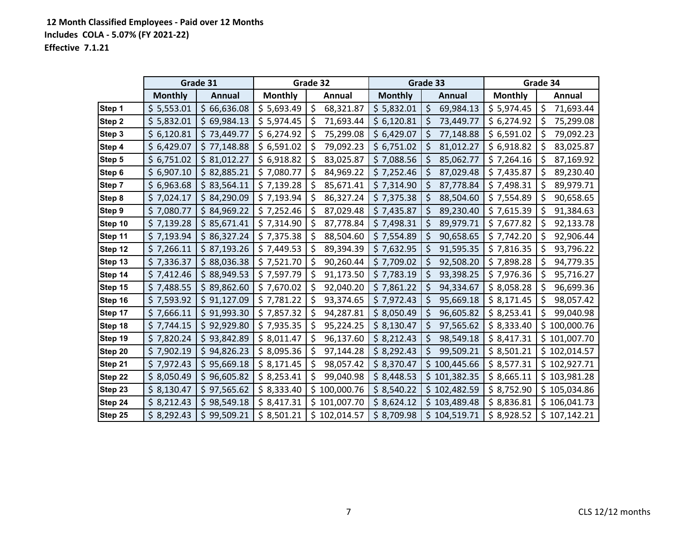|         |                | Grade 31      |                | Grade 32          |                | Grade 33        |                | Grade 34         |
|---------|----------------|---------------|----------------|-------------------|----------------|-----------------|----------------|------------------|
|         | <b>Monthly</b> | <b>Annual</b> | <b>Monthly</b> | Annual            | <b>Monthly</b> | <b>Annual</b>   | <b>Monthly</b> | Annual           |
| Step 1  | \$5,553.01     | \$66,636.08   | \$5,693.49     | \$<br>68,321.87   | \$5,832.01     | \$<br>69,984.13 | \$5,974.45     | \$<br>71,693.44  |
| Step 2  | \$5,832.01     | \$69,984.13   | \$5,974.45     | 71,693.44<br>\$   | \$6,120.81     | \$<br>73,449.77 | \$6,274.92     | \$<br>75,299.08  |
| Step 3  | \$6,120.81     | \$73,449.77   | \$6,274.92     | \$<br>75,299.08   | \$6,429.07     | \$<br>77,148.88 | \$6,591.02     | \$<br>79,092.23  |
| Step 4  | \$6,429.07     | \$77,148.88   | \$6,591.02     | \$<br>79,092.23   | \$6,751.02     | \$<br>81,012.27 | \$6,918.82     | \$<br>83,025.87  |
| Step 5  | \$6,751.02     | \$81,012.27   | \$6,918.82     | 83,025.87<br>\$   | \$7,088.56     | \$<br>85,062.77 | \$7,264.16     | \$<br>87,169.92  |
| Step 6  | \$6,907.10     | \$82,885.21   | \$7,080.77     | 84,969.22<br>\$   | \$7,252.46     | \$<br>87,029.48 | \$7,435.87     | \$<br>89,230.40  |
| Step 7  | \$6,963.68     | \$83,564.11   | \$7,139.28     | \$<br>85,671.41   | \$7,314.90     | \$<br>87,778.84 | \$7,498.31     | \$<br>89,979.71  |
| Step 8  | \$7,024.17     | \$84,290.09   | \$7,193.94     | \$<br>86,327.24   | \$7,375.38     | \$<br>88,504.60 | \$7,554.89     | \$<br>90,658.65  |
| Step 9  | \$7,080.77     | \$84,969.22   | \$7,252.46     | \$<br>87,029.48   | \$7,435.87     | \$<br>89,230.40 | \$7,615.39     | \$<br>91,384.63  |
| Step 10 | \$7,139.28     | \$85,671.41   | \$7,314.90     | \$<br>87,778.84   | \$7,498.31     | \$<br>89,979.71 | \$7,677.82     | \$<br>92,133.78  |
| Step 11 | \$7,193.94     | \$86,327.24   | \$7,375.38     | \$<br>88,504.60   | \$7,554.89     | \$<br>90,658.65 | \$7,742.20     | \$<br>92,906.44  |
| Step 12 | \$7,266.11     | \$87,193.26   | \$7,449.53     | \$<br>89,394.39   | \$7,632.95     | \$<br>91,595.35 | \$7,816.35     | \$<br>93,796.22  |
| Step 13 | \$7,336.37     | \$88,036.38   | \$7,521.70     | \$<br>90,260.44   | \$7,709.02     | \$<br>92,508.20 | \$7,898.28     | \$<br>94,779.35  |
| Step 14 | \$7,412.46     | \$88,949.53   | \$7,597.79     | \$<br>91,173.50   | \$7,783.19     | \$<br>93,398.25 | \$7,976.36     | \$<br>95,716.27  |
| Step 15 | \$7,488.55     | \$89,862.60   | \$7,670.02     | 92,040.20<br>\$   | \$7,861.22     | \$<br>94,334.67 | \$8,058.28     | \$<br>96,699.36  |
| Step 16 | \$7,593.92     | \$91,127.09   | \$7,781.22     | \$<br>93,374.65   | \$7,972.43     | 95,669.18<br>\$ | \$8,171.45     | \$<br>98,057.42  |
| Step 17 | \$7,666.11     | \$91,993.30   | \$7,857.32     | \$<br>94,287.81   | \$8,050.49     | \$<br>96,605.82 | \$8,253.41     | \$<br>99,040.98  |
| Step 18 | \$7,744.15     | \$92,929.80   | \$7,935.35     | \$<br>95,224.25   | \$8,130.47     | 97,565.62<br>\$ | \$8,333.40     | 100,000.76<br>\$ |
| Step 19 | \$7,820.24     | \$93,842.89   | \$8,011.47     | \$<br>96,137.60   | \$8,212.43     | \$<br>98,549.18 | \$8,417.31     | \$101,007.70     |
| Step 20 | \$7,902.19     | \$94,826.23   | \$8,095.36     | \$<br>97,144.28   | \$8,292.43     | \$<br>99,509.21 | \$8,501.21     | \$102,014.57     |
| Step 21 | \$7,972.43     | \$95,669.18   | \$8,171.45     | \$<br>98,057.42   | \$8,370.47     | \$100,445.66    | \$8,577.31     | \$102,927.71     |
| Step 22 | \$8,050.49     | \$96,605.82   | \$8,253.41     | 99,040.98<br>\$   | \$8,448.53     | \$101,382.35    | \$8,665.11     | \$103,981.28     |
| Step 23 | \$8,130.47     | \$97,565.62   | \$8,333.40     | 100,000.76<br>\$. | \$8,540.22     | \$102,482.59    | \$8,752.90     | \$105,034.86     |
| Step 24 | \$8,212.43     | \$98,549.18   | \$8,417.31     | \$101,007.70      | \$8,624.12     | \$103,489.48    | \$8,836.81     | \$106,041.73     |
| Step 25 | \$8,292.43     | \$99,509.21   | \$8,501.21     | \$102,014.57      | \$8,709.98     | \$104,519.71    | \$8,928.52     | \$107,142.21     |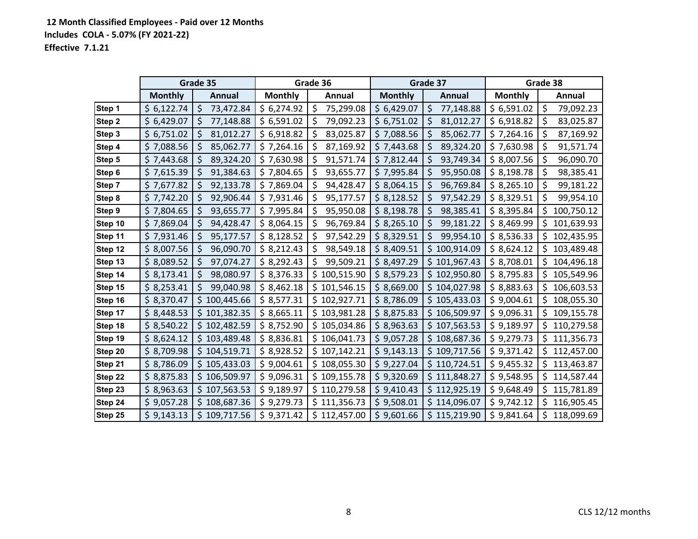|         |                | Grade 35             |                | Grade 36         |                | Grade 37         |                | Grade 38          |
|---------|----------------|----------------------|----------------|------------------|----------------|------------------|----------------|-------------------|
|         | <b>Monthly</b> | <b>Annual</b>        | <b>Monthly</b> | Annual           | <b>Monthly</b> | Annual           | <b>Monthly</b> | Annual            |
| Step 1  | \$6,122.74     | \$<br>73,472.84      | \$6,274.92     | \$<br>75,299.08  | \$6,429.07     | \$<br>77,148.88  | \$6,591.02     | \$<br>79,092.23   |
| Step 2  | \$6,429.07     | \$<br>77,148.88      | \$6,591.02     | \$<br>79,092.23  | \$6,751.02     | 81,012.27<br>\$, | \$6,918.82     | \$<br>83,025.87   |
| Step 3  | \$6,751.02     | $\zeta$<br>81,012.27 | \$6,918.82     | \$<br>83,025.87  | \$7,088.56     | \$<br>85,062.77  | \$7,264.16     | \$<br>87,169.92   |
| Step 4  | \$7,088.56     | \$<br>85,062.77      | \$7,264.16     | \$<br>87,169.92  | \$7,443.68     | 89,324.20<br>\$  | \$7,630.98     | \$<br>91,571.74   |
| Step 5  | \$7,443.68     | \$<br>89,324.20      | \$7,630.98     | \$<br>91,571.74  | \$7,812.44     | \$<br>93,749.34  | \$8,007.56     | \$<br>96,090.70   |
| Step 6  | \$7,615.39     | 91,384.63<br>\$.     | \$7,804.65     | \$<br>93,655.77  | \$7,995.84     | 95,950.08<br>\$  | \$8,198.78     | \$<br>98,385.41   |
| Step 7  | \$7,677.82     | \$<br>92,133.78      | \$7,869.04     | \$<br>94,428.47  | \$8,064.15     | \$<br>96,769.84  | \$8,265.10     | \$<br>99,181.22   |
| Step 8  | \$7,742.20     | \$<br>92,906.44      | \$7,931.46     | \$<br>95,177.57  | \$8,128.52     | \$<br>97,542.29  | \$8,329.51     | \$<br>99,954.10   |
| Step 9  | \$7,804.65     | \$<br>93,655.77      | \$7,995.84     | \$<br>95,950.08  | \$8,198.78     | \$<br>98,385.41  | \$8,395.84     | \$<br>100,750.12  |
| Step 10 | \$7,869.04     | 94,428.47<br>\$.     | \$8,064.15     | \$<br>96,769.84  | \$8,265.10     | 99,181.22<br>\$  | \$8,469.99     | 101,639.93<br>\$  |
| Step 11 | \$7,931.46     | \$<br>95,177.57      | \$8,128.52     | \$<br>97,542.29  | \$8,329.51     | \$<br>99,954.10  | \$8,536.33     | \$<br>102,435.95  |
| Step 12 | \$8,007.56     | \$<br>96,090.70      | \$8,212.43     | 98,549.18<br>\$  | \$8,409.51     | \$100,914.09     | \$8,624.12     | \$<br>103,489.48  |
| Step 13 | \$8,089.52     | \$<br>97,074.27      | \$8,292.43     | \$<br>99,509.21  | \$8,497.29     | \$101,967.43     | \$8,708.01     | \$<br>104,496.18  |
| Step 14 | \$8,173.41     | \$<br>98,080.97      | \$8,376.33     | 100,515.90<br>\$ | \$8,579.23     | \$102,950.80     | \$8,795.83     | 105,549.96<br>\$  |
| Step 15 | \$8,253.41     | \$<br>99,040.98      | \$8,462.18     | \$101,546.15     | \$8,669.00     | \$104,027.98     | \$8,883.63     | \$<br>106,603.53  |
| Step 16 | \$8,370.47     | \$<br>100,445.66     | \$8,577.31     | \$102,927.71     | \$8,786.09     | \$105,433.03     | \$9,004.61     | \$<br>108,055.30  |
| Step 17 | \$8,448.53     | \$101,382.35         | \$8,665.11     | \$103,981.28     | \$8,875.83     | \$106,509.97     | \$9,096.31     | \$<br>109,155.78  |
| Step 18 | \$8,540.22     | 102,482.59<br>\$.    | \$8,752.90     | \$105,034.86     | \$8,963.63     | \$107,563.53     | \$9,189.97     | 110,279.58<br>Ş   |
| Step 19 | \$8,624.12     | 103,489.48<br>\$     | \$8,836.81     | \$106,041.73     | \$9,057.28     | \$108,687.36     | \$9,279.73     | \$<br>111,356.73  |
| Step 20 | \$8,709.98     | 104,519.71<br>\$     | \$8,928.52     | \$107,142.21     | \$9,143.13     | \$109,717.56     | \$9,371.42     | 112,457.00<br>\$  |
| Step 21 | \$8,786.09     | \$105,433.03         | \$9,004.61     | \$108,055.30     | \$9,227.04     | \$110,724.51     | \$9,455.32     | \$.<br>113,463.87 |
| Step 22 | \$8,875.83     | \$<br>106,509.97     | \$9,096.31     | \$109,155.78     | \$9,320.69     | \$111,848.27     | \$9,548.95     | \$.<br>114,587.44 |
| Step 23 | \$8,963.63     | 107,563.53<br>\$     | \$9,189.97     | \$110,279.58     | \$9,410.43     | \$112,925.19     | \$9,648.49     | 115,781.89<br>S   |
| Step 24 | \$9,057.28     | \$108,687.36         | \$9,279.73     | \$111,356.73     | \$9,508.01     | \$114,096.07     | \$9,742.12     | \$.<br>116,905.45 |
| Step 25 | \$9,143.13     | \$<br>109,717.56     | \$9,371.42     | \$112,457.00     | \$9,601.66     | \$115,219.90     | \$9,841.64     | \$<br>118,099.69  |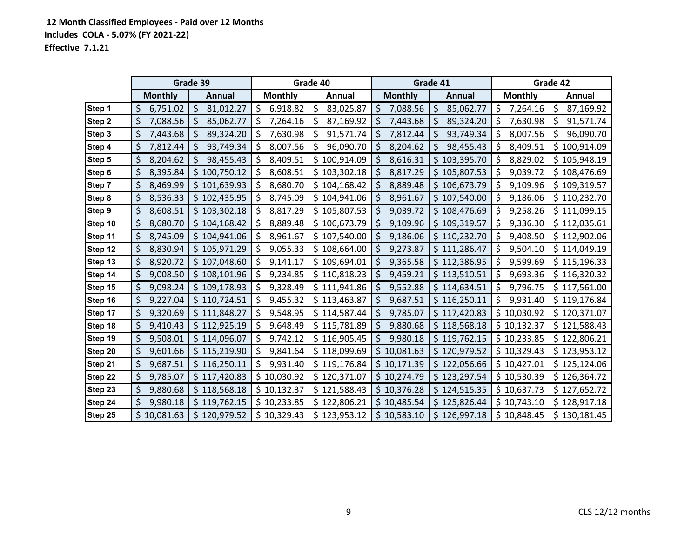|         |                | Grade 39        |                     | Grade 40             |                 | Grade 41        |                  | Grade 42        |
|---------|----------------|-----------------|---------------------|----------------------|-----------------|-----------------|------------------|-----------------|
|         | <b>Monthly</b> | Annual          | <b>Monthly</b>      | Annual               | <b>Monthly</b>  | <b>Annual</b>   | <b>Monthly</b>   | Annual          |
| Step 1  | \$<br>6,751.02 | \$<br>81,012.27 | $\zeta$<br>6,918.82 | $\zeta$<br>83,025.87 | \$<br>7,088.56  | \$<br>85,062.77 | \$<br>7,264.16   | \$<br>87,169.92 |
| Step 2  | \$<br>7,088.56 | 85,062.77       | 7,264.16<br>\$,     | 87,169.92            | 7,443.68<br>Ş   | 89,324.20       | 7,630.98<br>Ş    | 91,571.74       |
| Step 3  | \$<br>7,443.68 | 89,324.20<br>\$ | 7,630.98<br>\$      | 91,571.74<br>  \$    | 7,812.44<br>\$  | 93,749.34<br>\$ | \$<br>8,007.56   | 96,090.70<br>\$ |
| Step 4  | 7,812.44<br>\$ | 93,749.34<br>\$ | \$<br>8,007.56      | 96,090.70<br>\$,     | 8,204.62<br>\$  | 98,455.43       | 8,409.51<br>\$   | \$100,914.09    |
| Step 5  | \$<br>8,204.62 | 98,455.43       | \$<br>8,409.51      | \$100,914.09         | \$<br>8,616.31  | \$103,395.70    | 8,829.02<br>\$.  | \$105,948.19    |
| Step 6  | \$<br>8,395.84 | \$100,750.12    | \$<br>8,608.51      | \$103,302.18         | 8,817.29<br>\$  | \$105,807.53    | \$<br>9,039.72   | \$108,476.69    |
| Step 7  | \$<br>8,469.99 | \$101,639.93    | \$<br>8,680.70      | \$104,168.42         | \$<br>8,889.48  | \$106,673.79    | \$<br>9,109.96   | \$109,319.57    |
| Step 8  | \$<br>8,536.33 | \$102,435.95    | 8,745.09<br>\$      | \$104,941.06         | 8,961.67<br>\$  | \$107,540.00    | 9,186.06<br>\$   | \$110,232.70    |
| Step 9  | \$<br>8,608.51 | \$103,302.18    | \$<br>8,817.29      | \$105,807.53         | \$<br>9,039.72  | \$108,476.69    | \$<br>9,258.26   | \$111,099.15    |
| Step 10 | \$<br>8,680.70 | \$104,168.42    | 8,889.48<br>\$,     | \$106,673.79         | 9,109.96<br>\$, | \$109,319.57    | 9,336.30<br>\$.  | \$112,035.61    |
| Step 11 | \$<br>8,745.09 | \$104,941.06    | 8,961.67<br>-\$     | \$107,540.00         | -\$<br>9,186.06 | \$110,232.70    | 9,408.50<br>\$   | \$112,902.06    |
| Step 12 | \$<br>8,830.94 | \$105,971.29    | 9,055.33<br>\$      | \$108,664.00         | 9,273.87<br>\$  | \$111,286.47    | \$<br>9,504.10   | \$114,049.19    |
| Step 13 | 8,920.72       | \$107,048.60    | -\$<br>9,141.17     | \$109,694.01         | \$<br>9,365.58  | \$112,386.95    | 9,599.69<br>\$.  | \$115,196.33    |
| Step 14 | \$<br>9,008.50 | \$108,101.96    | \$<br>9,234.85      | \$110,818.23         | \$<br>9,459.21  | \$113,510.51    | 9,693.36<br>\$.  | \$116,320.32    |
| Step 15 | 9,098.24       | \$109,178.93    | 9,328.49<br>\$,     | \$111,941.86         | \$<br>9,552.88  | \$114,634.51    | \$<br>9,796.75   | \$117,561.00    |
| Step 16 | \$<br>9,227.04 | \$110,724.51    | 9,455.32<br>\$      | \$113,463.87         | \$<br>9,687.51  | \$116,250.11    | \$<br>9,931.40   | \$119,176.84    |
| Step 17 | \$<br>9,320.69 | \$111,848.27    | \$<br>9,548.95      | \$114,587.44         | 9,785.07<br>\$  | \$117,420.83    | \$10,030.92      | \$120,371.07    |
| Step 18 | \$<br>9,410.43 | \$112,925.19    | \$<br>9,648.49      | \$115,781.89         | \$<br>9,880.68  | \$118,568.18    | \$10,132.37      | \$121,588.43    |
| Step 19 | \$<br>9,508.01 | \$114,096.07    | 9,742.12<br>\$      | \$116,905.45         | 9,980.18<br>\$  | \$119,762.15    | \$10,233.85      | \$122,806.21    |
| Step 20 | \$<br>9,601.66 | \$115,219.90    | 9,841.64<br>\$      | \$118,099.69         | 10,081.63<br>\$ | \$120,979.52    | \$10,329.43      | \$123,953.12    |
| Step 21 | \$<br>9,687.51 | \$116,250.11    | \$<br>9,931.40      | \$119,176.84         | \$10,171.39     | \$122,056.66    | \$10,427.01      | \$125,124.06    |
| Step 22 | \$<br>9,785.07 | \$117,420.83    | \$10,030.92         | \$120,371.07         | \$10,274.79     | \$123,297.54    | \$10,530.39      | \$126,364.72    |
| Step 23 | \$<br>9,880.68 | \$118,568.18    | \$10,132.37         | \$121,588.43         | 10,376.28<br>\$ | \$124,515.35    | 10,637.73<br>\$. | \$127,652.72    |
| Step 24 | \$<br>9,980.18 | \$119,762.15    | \$10,233.85         | \$122,806.21         | \$10,485.54     | \$125,826.44    | \$10,743.10      | \$128,917.18    |
| Step 25 | 10,081.63      | \$120,979.52    | \$10,329.43         | \$123,953.12         | \$<br>10,583.10 | \$126,997.18    | \$10,848.45      | \$130,181.45    |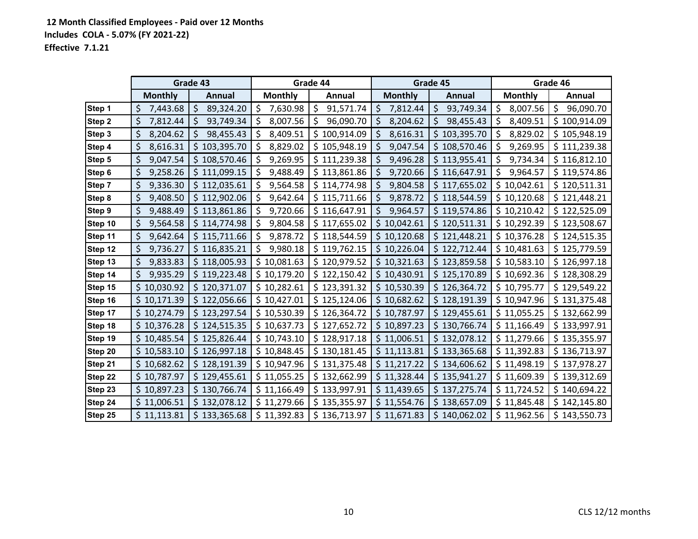|         |                | Grade 43        |                 | Grade 44        |                 | Grade 45         |                 | Grade 46        |
|---------|----------------|-----------------|-----------------|-----------------|-----------------|------------------|-----------------|-----------------|
|         | <b>Monthly</b> | Annual          | <b>Monthly</b>  | Annual          | <b>Monthly</b>  | Annual           | <b>Monthly</b>  | Annual          |
| Step 1  | \$<br>7,443.68 | \$<br>89,324.20 | \$<br>7,630.98  | \$<br>91,571.74 | \$<br>7,812.44  | \$<br>93,749.34  | \$<br>8,007.56  | \$<br>96,090.70 |
| Step 2  | \$<br>7,812.44 | 93,749.34<br>Ş  | 8,007.56<br>Ş   | 96,090.70<br>S  | 8,204.62<br>Ş   | \$<br>98,455.43  | 8,409.51<br>\$  | \$100,914.09    |
| Step 3  | \$<br>8,204.62 | 98,455.43       | \$<br>8,409.51  | \$100,914.09    | \$<br>8,616.31  | \$<br>103,395.70 | \$<br>8,829.02  | \$105,948.19    |
| Step 4  | 8,616.31<br>\$ | \$103,395.70    | 8,829.02<br>\$  | \$105,948.19    | \$<br>9,047.54  | \$108,570.46     | 9,269.95<br>\$  | \$111,239.38    |
| Step 5  | \$<br>9,047.54 | \$108,570.46    | 9,269.95<br>S   | \$111,239.38    | \$,<br>9,496.28 | \$113,955.41     | \$.<br>9,734.34 | \$116,812.10    |
| Step 6  | \$<br>9,258.26 | \$111,099.15    | 9,488.49<br>\$  | \$113,861.86    | 9,720.66<br>Ş   | \$116,647.91     | \$<br>9,964.57  | \$119,574.86    |
| Step 7  | \$<br>9,336.30 | \$112,035.61    | 9,564.58<br>\$. | \$114,774.98    | \$<br>9,804.58  | \$117,655.02     | \$10,042.61     | \$120,511.31    |
| Step 8  | \$<br>9,408.50 | \$112,902.06    | \$<br>9,642.64  | \$115,711.66    | 9,878.72<br>\$  | \$118,544.59     | \$10,120.68     | \$121,448.21    |
| Step 9  | \$<br>9,488.49 | \$113,861.86    | 9,720.66<br>Ŝ   | \$116,647.91    | \$<br>9,964.57  | \$119,574.86     | \$10,210.42     | \$122,525.09    |
| Step 10 | \$<br>9,564.58 | \$114,774.98    | 9,804.58<br>S   | \$117,655.02    | 10,042.61<br>\$ | \$120,511.31     | \$10,292.39     | \$123,508.67    |
| Step 11 | \$<br>9,642.64 | \$115,711.66    | 9,878.72<br>\$. | \$118,544.59    | 10,120.68<br>\$ | \$121,448.21     | \$10,376.28     | \$124,515.35    |
| Step 12 | \$<br>9,736.27 | \$116,835.21    | 9,980.18<br>\$  | \$119,762.15    | \$10,226.04     | \$122,712.44     | \$10,481.63     | \$125,779.59    |
| Step 13 | 9,833.83       | \$118,005.93    | \$10,081.63     | \$120,979.52    | \$10,321.63     | \$123,859.58     | \$10,583.10     | \$126,997.18    |
| Step 14 | \$<br>9,935.29 | \$119,223.48    | \$10,179.20     | \$122,150.42    | \$10,430.91     | \$125,170.89     | \$10,692.36     | \$128,308.29    |
| Step 15 | 10,030.92      | \$120,371.07    | \$10,282.61     | \$123,391.32    | 10,530.39<br>\$ | \$126,364.72     | \$10,795.77     | \$129,549.22    |
| Step 16 | \$10,171.39    | \$122,056.66    | \$10,427.01     | \$125,124.06    | \$10,682.62     | \$128,191.39     | \$10,947.96     | \$131,375.48    |
| Step 17 | \$10,274.79    | \$123,297.54    | \$10,530.39     | \$126,364.72    | \$10,787.97     | \$129,455.61     | \$11,055.25     | \$132,662.99    |
| Step 18 | \$10,376.28    | \$124,515.35    | \$10,637.73     | \$127,652.72    | \$10,897.23     | \$130,766.74     | \$11,166.49     | \$133,997.91    |
| Step 19 | \$10,485.54    | \$125,826.44    | \$10,743.10     | \$128,917.18    | \$11,006.51     | \$132,078.12     | \$11,279.66     | \$135,355.97    |
| Step 20 | \$10,583.10    | \$126,997.18    | \$10,848.45     | \$130,181.45    | \$11,113.81     | \$133,365.68     | \$11,392.83     | \$136,713.97    |
| Step 21 | \$10,682.62    | \$128,191.39    | \$10,947.96     | \$131,375.48    | \$11,217.22     | \$134,606.62     | \$11,498.19     | \$137,978.27    |
| Step 22 | \$10,787.97    | \$129,455.61    | \$11,055.25     | \$132,662.99    | \$11,328.44     | \$135,941.27     | \$11,609.39     | \$139,312.69    |
| Step 23 | 10,897.23      | \$130,766.74    | \$11,166.49     | \$133,997.91    | \$11,439.65     | \$137,275.74     | \$11,724.52     | \$140,694.22    |
| Step 24 | \$11,006.51    | \$132,078.12    | \$11,279.66     | \$135,355.97    | \$11,554.76     | \$138,657.09     | \$11,845.48     | \$142,145.80    |
| Step 25 | \$11,113.81    | \$133,365.68    | \$11,392.83     | \$136,713.97    | \$11,671.83     | \$140,062.02     | \$11,962.56     | \$143,550.73    |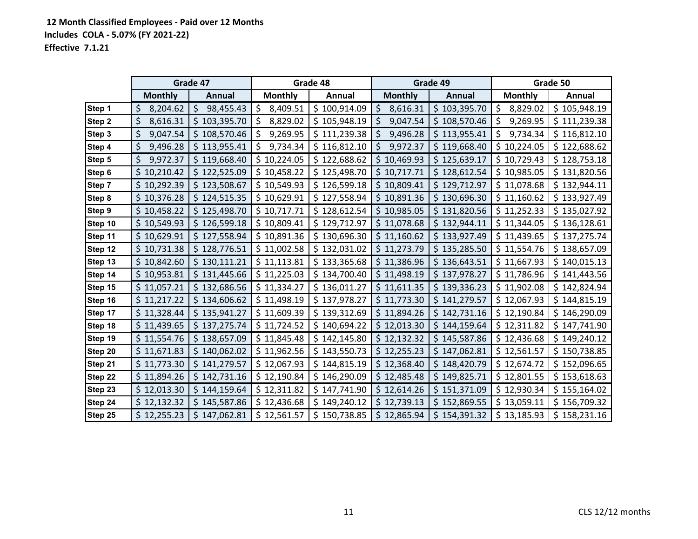|         |                 | Grade 47         |                | Grade 48     |                 | Grade 49     |                 | Grade 50     |
|---------|-----------------|------------------|----------------|--------------|-----------------|--------------|-----------------|--------------|
|         | <b>Monthly</b>  | <b>Annual</b>    | <b>Monthly</b> | Annual       | <b>Monthly</b>  | Annual       | <b>Monthly</b>  | Annual       |
| Step 1  | \$<br>8,204.62  | \$<br>98,455.43  | \$<br>8,409.51 | \$100,914.09 | \$<br>8,616.31  | \$103,395.70 | \$<br>8,829.02  | \$105,948.19 |
| Step 2  | \$<br>8,616.31  | 103,395.70<br>\$ | 8,829.02<br>\$ | \$105,948.19 | 9,047.54<br>\$  | \$108,570.46 | 9,269.95<br>\$. | \$111,239.38 |
| Step 3  | \$<br>9,047.54  | \$108,570.46     | \$<br>9,269.95 | \$111,239.38 | 9,496.28<br>\$  | \$113,955.41 | \$<br>9,734.34  | \$116,812.10 |
| Step 4  | \$<br>9,496.28  | \$113,955.41     | \$<br>9,734.34 | \$116,812.10 | 9,972.37<br>\$  | \$119,668.40 | \$10,224.05     | \$122,688.62 |
| Step 5  | \$<br>9,972.37  | \$119,668.40     | \$10,224.05    | \$122,688.62 | \$<br>10,469.93 | \$125,639.17 | \$10,729.43     | \$128,753.18 |
| Step 6  | \$<br>10,210.42 | \$122,525.09     | \$10,458.22    | \$125,498.70 | \$<br>10,717.71 | \$128,612.54 | \$10,985.05     | \$131,820.56 |
| Step 7  | 10,292.39       | \$123,508.67     | \$10,549.93    | \$126,599.18 | 10,809.41<br>\$ | \$129,712.97 | \$11,078.68     | \$132,944.11 |
| Step 8  | 10,376.28       | \$124,515.35     | \$10,629.91    | \$127,558.94 | \$10,891.36     | \$130,696.30 | \$11,160.62     | \$133,927.49 |
| Step 9  | \$10,458.22     | \$125,498.70     | \$10,717.71    | \$128,612.54 | \$10,985.05     | \$131,820.56 | \$11,252.33     | \$135,027.92 |
| Step 10 | 10,549.93       | \$126,599.18     | \$10,809.41    | \$129,712.97 | \$11,078.68     | \$132,944.11 | \$11,344.05     | \$136,128.61 |
| Step 11 | \$10,629.91     | \$127,558.94     | \$10,891.36    | \$130,696.30 | \$11,160.62     | \$133,927.49 | \$11,439.65     | \$137,275.74 |
| Step 12 | \$10,731.38     | \$128,776.51     | \$11,002.58    | \$132,031.02 | \$11,273.79     | \$135,285.50 | \$11,554.76     | \$138,657.09 |
| Step 13 | \$10,842.60     | \$130,111.21     | \$11,113.81    | \$133,365.68 | \$11,386.96     | \$136,643.51 | \$11,667.93     | \$140,015.13 |
| Step 14 | \$10,953.81     | \$131,445.66     | \$11,225.03    | \$134,700.40 | \$11,498.19     | \$137,978.27 | \$11,786.96     | \$141,443.56 |
| Step 15 | \$11,057.21     | \$132,686.56     | \$11,334.27    | \$136,011.27 | \$11,611.35     | \$139,336.23 | \$11,902.08     | \$142,824.94 |
| Step 16 | \$11,217.22     | \$134,606.62     | \$11,498.19    | \$137,978.27 | \$11,773.30     | \$141,279.57 | \$12,067.93     | \$144,815.19 |
| Step 17 | \$11,328.44     | \$135,941.27     | \$11,609.39    | \$139,312.69 | \$11,894.26     | \$142,731.16 | \$12,190.84     | \$146,290.09 |
| Step 18 | \$11,439.65     | \$137,275.74     | \$11,724.52    | \$140,694.22 | \$12,013.30     | \$144,159.64 | \$12,311.82     | \$147,741.90 |
| Step 19 | \$11,554.76     | \$138,657.09     | \$11,845.48    | \$142,145.80 | \$12,132.32     | \$145,587.86 | \$12,436.68     | \$149,240.12 |
| Step 20 | \$11,671.83     | \$140,062.02     | \$11,962.56    | \$143,550.73 | \$<br>12,255.23 | \$147,062.81 | \$12,561.57     | \$150,738.85 |
| Step 21 | \$11,773.30     | \$141,279.57     | \$12,067.93    | \$144,815.19 | \$12,368.40     | \$148,420.79 | \$12,674.72     | \$152,096.65 |
| Step 22 | \$11,894.26     | \$142,731.16     | \$12,190.84    | \$146,290.09 | \$12,485.48     | \$149,825.71 | \$12,801.55     | \$153,618.63 |
| Step 23 | 12,013.30       | \$144,159.64     | \$12,311.82    | \$147,741.90 | 12,614.26<br>\$ | \$151,371.09 | \$12,930.34     | \$155,164.02 |
| Step 24 | \$12,132.32     | \$145,587.86     | \$12,436.68    | \$149,240.12 | \$12,739.13     | \$152,869.55 | \$13,059.11     | \$156,709.32 |
| Step 25 | \$12,255.23     | \$147,062.81     | \$12,561.57    | \$150,738.85 | \$12,865.94     | \$154,391.32 | \$13,185.93     | \$158,231.16 |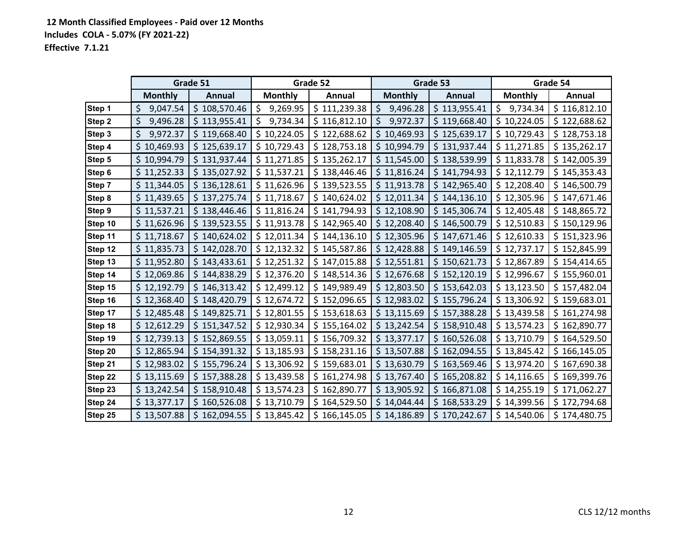|         |                | Grade 51      |                | Grade 52     |                 | Grade 53         |                | Grade 54     |
|---------|----------------|---------------|----------------|--------------|-----------------|------------------|----------------|--------------|
|         | <b>Monthly</b> | <b>Annual</b> | <b>Monthly</b> | Annual       | <b>Monthly</b>  | Annual           | <b>Monthly</b> | Annual       |
| Step 1  | 9,047.54<br>\$ | \$108,570.46  | \$<br>9,269.95 | \$111,239.38 | \$<br>9,496.28  | \$113,955.41     | \$<br>9,734.34 | \$116,812.10 |
| Step 2  | \$<br>9,496.28 | \$113,955.41  | 9,734.34<br>\$ | \$116,812.10 | 9,972.37<br>S   | \$119,668.40     | \$10,224.05    | \$122,688.62 |
| Step 3  | \$<br>9,972.37 | \$119,668.40  | \$10,224.05    | \$122,688.62 | 10,469.93<br>\$ | \$125,639.17     | \$10,729.43    | \$128,753.18 |
| Step 4  | \$10,469.93    | \$125,639.17  | \$10,729.43    | \$128,753.18 | \$10,994.79     | \$131,937.44     | \$11,271.85    | \$135,262.17 |
| Step 5  | \$10,994.79    | \$131,937.44  | \$11,271.85    | \$135,262.17 | \$11,545.00     | \$138,539.99     | \$11,833.78    | \$142,005.39 |
| Step 6  | \$11,252.33    | \$135,027.92  | \$11,537.21    | \$138,446.46 | \$11,816.24     | \$141,794.93     | \$12,112.79    | \$145,353.43 |
| Step 7  | \$11,344.05    | \$136,128.61  | \$11,626.96    | \$139,523.55 | 11,913.78<br>\$ | \$142,965.40     | \$12,208.40    | \$146,500.79 |
| Step 8  | \$11,439.65    | \$137,275.74  | \$11,718.67    | \$140,624.02 | \$12,011.34     | \$144,136.10     | \$12,305.96    | \$147,671.46 |
| Step 9  | \$11,537.21    | \$138,446.46  | \$11,816.24    | \$141,794.93 | \$12,108.90     | \$145,306.74     | \$12,405.48    | \$148,865.72 |
| Step 10 | \$11,626.96    | \$139,523.55  | \$11,913.78    | \$142,965.40 | 12,208.40<br>\$ | \$146,500.79     | \$12,510.83    | \$150,129.96 |
| Step 11 | \$11,718.67    | \$140,624.02  | \$12,011.34    | \$144,136.10 | \$12,305.96     | \$147,671.46     | \$12,610.33    | \$151,323.96 |
| Step 12 | \$11,835.73    | \$142,028.70  | \$12,132.32    | \$145,587.86 | \$12,428.88     | \$149,146.59     | \$12,737.17    | \$152,845.99 |
| Step 13 | \$11,952.80    | \$143,433.61  | \$12,251.32    | \$147,015.88 | \$12,551.81     | \$150,621.73     | \$12,867.89    | \$154,414.65 |
| Step 14 | \$12,069.86    | \$144,838.29  | \$12,376.20    | \$148,514.36 | \$12,676.68     | \$152,120.19     | \$12,996.67    | \$155,960.01 |
| Step 15 | \$12,192.79    | \$146,313.42  | \$12,499.12    | \$149,989.49 | \$12,803.50     | \$153,642.03     | \$13,123.50    | \$157,482.04 |
| Step 16 | \$12,368.40    | \$148,420.79  | \$12,674.72    | \$152,096.65 | \$12,983.02     | \$155,796.24     | \$13,306.92    | \$159,683.01 |
| Step 17 | \$12,485.48    | \$149,825.71  | \$12,801.55    | \$153,618.63 | \$13,115.69     | \$157,388.28     | \$13,439.58    | \$161,274.98 |
| Step 18 | \$12,612.29    | \$151,347.52  | \$12,930.34    | \$155,164.02 | \$13,242.54     | \$158,910.48     | \$13,574.23    | \$162,890.77 |
| Step 19 | \$12,739.13    | \$152,869.55  | \$13,059.11    | \$156,709.32 | \$13,377.17     | \$<br>160,526.08 | \$13,710.79    | \$164,529.50 |
| Step 20 | \$12,865.94    | \$154,391.32  | \$13,185.93    | \$158,231.16 | \$13,507.88     | \$162,094.55     | \$13,845.42    | \$166,145.05 |
| Step 21 | \$12,983.02    | \$155,796.24  | \$13,306.92    | \$159,683.01 | \$13,630.79     | \$163,569.46     | \$13,974.20    | \$167,690.38 |
| Step 22 | \$13,115.69    | \$157,388.28  | \$13,439.58    | \$161,274.98 | \$13,767.40     | \$165,208.82     | \$14,116.65    | \$169,399.76 |
| Step 23 | \$13,242.54    | \$158,910.48  | \$13,574.23    | \$162,890.77 | \$<br>13,905.92 | 166,871.08<br>\$ | \$14,255.19    | \$171,062.27 |
| Step 24 | \$13,377.17    | \$160,526.08  | \$13,710.79    | \$164,529.50 | \$<br>14,044.44 | \$168,533.29     | \$14,399.56    | \$172,794.68 |
| Step 25 | \$13,507.88    | \$162,094.55  | \$13,845.42    | \$166,145.05 | \$14,186.89     | \$170,242.67     | \$14,540.06    | \$174,480.75 |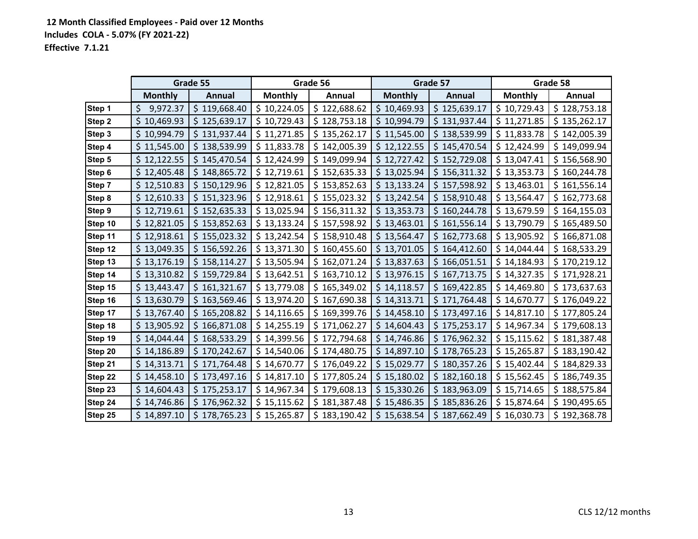|         | Grade 55       |               | Grade 56       |              | Grade 57        |                  | Grade 58       |              |
|---------|----------------|---------------|----------------|--------------|-----------------|------------------|----------------|--------------|
|         | <b>Monthly</b> | <b>Annual</b> | <b>Monthly</b> | Annual       | <b>Monthly</b>  | Annual           | <b>Monthly</b> | Annual       |
| Step 1  | \$<br>9,972.37 | \$119,668.40  | \$10,224.05    | \$122,688.62 | \$10,469.93     | \$125,639.17     | \$10,729.43    | \$128,753.18 |
| Step 2  | 10,469.93      | \$125,639.17  | \$10,729.43    | \$128,753.18 | 10,994.79<br>\$ | \$131,937.44     | \$11,271.85    | \$135,262.17 |
| Step 3  | \$10,994.79    | \$131,937.44  | \$11,271.85    | \$135,262.17 | \$11,545.00     | \$138,539.99     | \$11,833.78    | \$142,005.39 |
| Step 4  | \$11,545.00    | \$138,539.99  | \$11,833.78    | \$142,005.39 | \$12,122.55     | \$145,470.54     | \$12,424.99    | \$149,099.94 |
| Step 5  | \$12,122.55    | \$145,470.54  | \$12,424.99    | \$149,099.94 | \$12,727.42     | \$152,729.08     | \$13,047.41    | \$156,568.90 |
| Step 6  | \$12,405.48    | \$148,865.72  | \$12,719.61    | \$152,635.33 | \$13,025.94     | \$156,311.32     | \$13,353.73    | \$160,244.78 |
| Step 7  | \$12,510.83    | \$150,129.96  | \$12,821.05    | \$153,852.63 | \$13,133.24     | \$157,598.92     | \$13,463.01    | \$161,556.14 |
| Step 8  | \$12,610.33    | \$151,323.96  | \$12,918.61    | \$155,023.32 | \$13,242.54     | \$158,910.48     | \$13,564.47    | \$162,773.68 |
| Step 9  | \$12,719.61    | \$152,635.33  | \$13,025.94    | \$156,311.32 | \$13,353.73     | \$160,244.78     | \$13,679.59    | \$164,155.03 |
| Step 10 | \$12,821.05    | \$153,852.63  | \$13,133.24    | \$157,598.92 | \$13,463.01     | \$161,556.14     | \$13,790.79    | \$165,489.50 |
| Step 11 | \$12,918.61    | \$155,023.32  | \$13,242.54    | \$158,910.48 | \$13,564.47     | \$162,773.68     | \$13,905.92    | \$166,871.08 |
| Step 12 | \$13,049.35    | \$156,592.26  | \$13,371.30    | \$160,455.60 | \$13,701.05     | \$164,412.60     | \$14,044.44    | \$168,533.29 |
| Step 13 | \$13,176.19    | \$158,114.27  | \$13,505.94    | \$162,071.24 | \$13,837.63     | \$166,051.51     | \$14,184.93    | \$170,219.12 |
| Step 14 | \$13,310.82    | \$159,729.84  | \$13,642.51    | \$163,710.12 | \$13,976.15     | \$167,713.75     | \$14,327.35    | \$171,928.21 |
| Step 15 | \$13,443.47    | \$161,321.67  | \$13,779.08    | \$165,349.02 | \$14,118.57     | \$169,422.85     | \$14,469.80    | \$173,637.63 |
| Step 16 | \$13,630.79    | \$163,569.46  | \$13,974.20    | \$167,690.38 | \$14,313.71     | \$171,764.48     | \$14,670.77    | \$176,049.22 |
| Step 17 | \$13,767.40    | \$165,208.82  | \$14,116.65    | \$169,399.76 | \$14,458.10     | \$173,497.16     | \$14,817.10    | \$177,805.24 |
| Step 18 | \$13,905.92    | \$166,871.08  | \$14,255.19    | \$171,062.27 | 14,604.43<br>\$ | \$175,253.17     | \$14,967.34    | \$179,608.13 |
| Step 19 | \$14,044.44    | \$168,533.29  | \$14,399.56    | \$172,794.68 | \$14,746.86     | \$176,962.32     | \$15,115.62    | \$181,387.48 |
| Step 20 | \$14,186.89    | \$170,242.67  | \$14,540.06    | \$174,480.75 | \$14,897.10     | \$178,765.23     | \$15,265.87    | \$183,190.42 |
| Step 21 | \$14,313.71    | \$171,764.48  | \$14,670.77    | \$176,049.22 | \$15,029.77     | \$180,357.26     | \$15,402.44    | \$184,829.33 |
| Step 22 | \$14,458.10    | \$173,497.16  | \$14,817.10    | \$177,805.24 | \$15,180.02     | \$182,160.18     | \$15,562.45    | \$186,749.35 |
| Step 23 | 14,604.43      | \$175,253.17  | \$14,967.34    | \$179,608.13 | \$15,330.26     | \$<br>183,963.09 | \$15,714.65    | \$188,575.84 |
| Step 24 | \$14,746.86    | \$176,962.32  | \$15,115.62    | \$181,387.48 | \$15,486.35     | \$185,836.26     | \$15,874.64    | \$190,495.65 |
| Step 25 | \$14,897.10    | \$178,765.23  | \$15,265.87    | \$183,190.42 | \$15,638.54     | \$187,662.49     | \$16,030.73    | \$192,368.78 |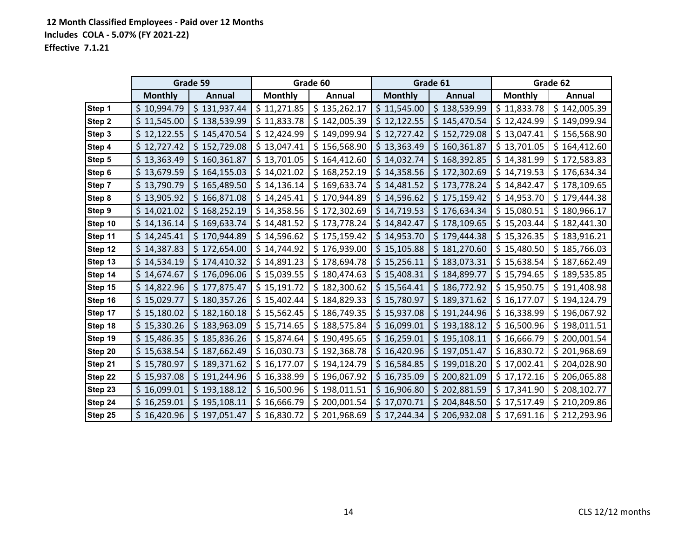|         | Grade 59       |               | Grade 60       |              | Grade 61                   |                  | Grade 62       |              |
|---------|----------------|---------------|----------------|--------------|----------------------------|------------------|----------------|--------------|
|         | <b>Monthly</b> | <b>Annual</b> | <b>Monthly</b> | Annual       | <b>Monthly</b>             | Annual           | <b>Monthly</b> | Annual       |
| Step 1  | \$10,994.79    | \$131,937.44  | \$11,271.85    | \$135,262.17 | \$11,545.00                | \$138,539.99     | \$11,833.78    | \$142,005.39 |
| Step 2  | \$11,545.00    | \$138,539.99  | \$11,833.78    | \$142,005.39 | 12,122.55<br>\$            | \$145,470.54     | \$12,424.99    | \$149,099.94 |
| Step 3  | \$12,122.55    | \$145,470.54  | \$12,424.99    | \$149,099.94 | \$12,727.42                | \$152,729.08     | \$13,047.41    | \$156,568.90 |
| Step 4  | \$12,727.42    | \$152,729.08  | \$13,047.41    | \$156,568.90 | \$13,363.49                | \$160,361.87     | \$13,701.05    | \$164,412.60 |
| Step 5  | \$13,363.49    | \$160,361.87  | \$13,701.05    | \$164,412.60 | \$14,032.74                | \$168,392.85     | \$14,381.99    | \$172,583.83 |
| Step 6  | \$13,679.59    | \$164,155.03  | \$14,021.02    | \$168,252.19 | 14,358.56<br>$\mathsf{S}$  | \$172,302.69     | \$14,719.53    | \$176,634.34 |
| Step 7  | \$13,790.79    | \$165,489.50  | \$14,136.14    | \$169,633.74 | 14,481.52<br>$\frac{1}{2}$ | \$173,778.24     | \$14,842.47    | \$178,109.65 |
| Step 8  | \$13,905.92    | \$166,871.08  | \$14,245.41    | \$170,944.89 | \$14,596.62                | \$175,159.42     | \$14,953.70    | \$179,444.38 |
| Step 9  | \$14,021.02    | \$168,252.19  | \$14,358.56    | \$172,302.69 | \$14,719.53                | \$176,634.34     | \$15,080.51    | \$180,966.17 |
| Step 10 | \$14,136.14    | \$169,633.74  | \$14,481.52    | \$173,778.24 | 14,842.47<br>$\mathsf{S}$  | \$178,109.65     | \$15,203.44    | \$182,441.30 |
| Step 11 | \$14,245.41    | \$170,944.89  | \$14,596.62    | \$175,159.42 | \$14,953.70                | \$179,444.38     | \$15,326.35    | \$183,916.21 |
| Step 12 | \$14,387.83    | \$172,654.00  | \$14,744.92    | \$176,939.00 | \$15,105.88                | \$181,270.60     | \$15,480.50    | \$185,766.03 |
| Step 13 | \$14,534.19    | \$174,410.32  | \$14,891.23    | \$178,694.78 | \$15,256.11                | \$183,073.31     | \$15,638.54    | \$187,662.49 |
| Step 14 | \$14,674.67    | \$176,096.06  | \$15,039.55    | \$180,474.63 | \$15,408.31                | \$184,899.77     | \$15,794.65    | \$189,535.85 |
| Step 15 | \$14,822.96    | \$177,875.47  | \$15,191.72    | \$182,300.62 | \$15,564.41                | \$186,772.92     | \$15,950.75    | \$191,408.98 |
| Step 16 | \$15,029.77    | \$180,357.26  | \$15,402.44    | \$184,829.33 | \$15,780.97                | \$189,371.62     | \$16,177.07    | \$194,124.79 |
| Step 17 | \$15,180.02    | \$182,160.18  | \$15,562.45    | \$186,749.35 | \$15,937.08                | \$191,244.96     | \$16,338.99    | \$196,067.92 |
| Step 18 | \$15,330.26    | \$183,963.09  | \$15,714.65    | \$188,575.84 | \$16,099.01                | \$193,188.12     | \$16,500.96    | \$198,011.51 |
| Step 19 | \$15,486.35    | \$185,836.26  | \$15,874.64    | \$190,495.65 | 16,259.01<br>$\mathsf{S}$  | \$195,108.11     | \$16,666.79    | \$200,001.54 |
| Step 20 | \$15,638.54    | \$187,662.49  | \$16,030.73    | \$192,368.78 | 16,420.96<br>$\frac{1}{2}$ | 197,051.47<br>\$ | \$16,830.72    | \$201,968.69 |
| Step 21 | \$15,780.97    | \$189,371.62  | \$16,177.07    | \$194,124.79 | \$16,584.85                | \$199,018.20     | \$17,002.41    | \$204,028.90 |
| Step 22 | \$15,937.08    | \$191,244.96  | \$16,338.99    | \$196,067.92 | \$16,735.09                | \$200,821.09     | \$17,172.16    | \$206,065.88 |
| Step 23 | \$16,099.01    | \$193,188.12  | \$16,500.96    | \$198,011.51 | \$16,906.80                | \$202,881.59     | \$17,341.90    | \$208,102.77 |
| Step 24 | \$16,259.01    | \$195,108.11  | \$16,666.79    | \$200,001.54 | \$17,070.71                | \$204,848.50     | \$17,517.49    | \$210,209.86 |
| Step 25 | \$16,420.96    | \$197,051.47  | \$16,830.72    | \$201,968.69 | 17,244.34<br>\$.           | \$<br>206,932.08 | \$17,691.16    | \$212,293.96 |